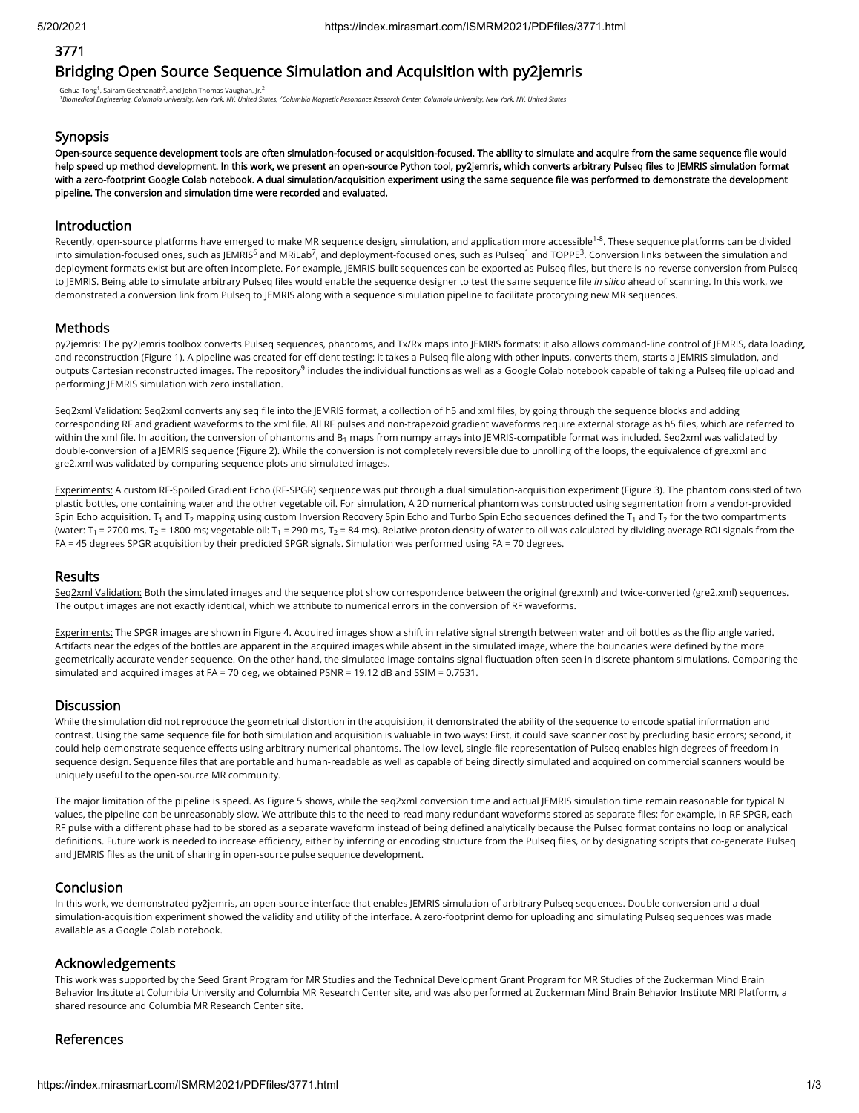## 3771

# Bridging Open Source Sequence Simulation and Acquisition with py2jemris

Gehua Tong<sup>1</sup>, Sairam Geethanath<sup>2</sup>, and John Thomas Vaughan, Jr.<sup>2</sup>

<sup>1</sup> Biomedical Engineering, Columbia University, New York, NY, United States, <sup>2</sup>Columbia Magnetic Resonance Research Center, Columbia University, New York, NY, United States

#### **Synopsis**

Open-source sequence development tools are often simulation-focused or acquisition-focused. The ability to simulate and acquire from the same sequence file would help speed up method development. In this work, we present an open-source Python tool, py2jemris, which converts arbitrary Pulseq files to JEMRIS simulation format with a zero-footprint Google Colab notebook. A dual simulation/acquisition experiment using the same sequence file was performed to demonstrate the development pipeline. The conversion and simulation time were recorded and evaluated.

#### Introduction

Recently, open-source platforms have emerged to make MR sequence design, simulation, and application more accessible<sup>1-8</sup>. These sequence platforms can be divided into simulation-focused ones, such as JEMRIS<sup>6</sup> and MRiLab<sup>7</sup>, and deployment-focused ones, such as Pulseq<sup>1</sup> and TOPPE<sup>3</sup>. Conversion links between the simulation and deployment formats exist but are often incomplete. For example, JEMRIS-built sequences can be exported as Pulseq files, but there is no reverse conversion from Pulseq to JEMRIS. Being able to simulate arbitrary Pulseq files would enable the sequence designer to test the same sequence file in silico ahead of scanning. In this work, we demonstrated a conversion link from Pulseq to JEMRIS along with a sequence simulation pipeline to facilitate prototyping new MR sequences.

#### Methods

py2jemris: The py2jemris toolbox converts Pulseq sequences, phantoms, and Tx/Rx maps into JEMRIS formats; it also allows command-line control of JEMRIS, data loading, and reconstruction (Figure 1). A pipeline was created for efficient testing: it takes a Pulseq file along with other inputs, converts them, starts a JEMRIS simulation, and outputs Cartesian reconstructed images. The repository<sup>9</sup> includes the individual functions as well as a Google Colab notebook capable of taking a Pulseq file upload and performing JEMRIS simulation with zero installation.

Seq2xml Validation: Seq2xml converts any seq file into the JEMRIS format, a collection of h5 and xml files, by going through the sequence blocks and adding corresponding RF and gradient waveforms to the xml file. All RF pulses and non-trapezoid gradient waveforms require external storage as h5 files, which are referred to within the xml file. In addition, the conversion of phantoms and B<sub>1</sub> maps from numpy arrays into JEMRIS-compatible format was included. Seq2xml was validated by double-conversion of a JEMRIS sequence (Figure 2). While the conversion is not completely reversible due to unrolling of the loops, the equivalence of gre.xml and gre2.xml was validated by comparing sequence plots and simulated images.

Experiments: A custom RF-Spoiled Gradient Echo (RF-SPGR) sequence was put through a dual simulation-acquisition experiment (Figure 3). The phantom consisted of two plastic bottles, one containing water and the other vegetable oil. For simulation, A 2D numerical phantom was constructed using segmentation from a vendor-provided Spin Echo acquisition. T<sub>1</sub> and T<sub>2</sub> mapping using custom Inversion Recovery Spin Echo and Turbo Spin Echo sequences defined the T<sub>1</sub> and T<sub>2</sub> for the two compartments (water: T<sub>1</sub> = 2700 ms, T<sub>2</sub> = 1800 ms; vegetable oil: T<sub>1</sub> = 290 ms, T<sub>2</sub> = 84 ms). Relative proton density of water to oil was calculated by dividing average ROI signals from the FA = 45 degrees SPGR acquisition by their predicted SPGR signals. Simulation was performed using FA = 70 degrees.

#### Results

Seq2xml Validation: Both the simulated images and the sequence plot show correspondence between the original (gre.xml) and twice-converted (gre2.xml) sequences. The output images are not exactly identical, which we attribute to numerical errors in the conversion of RF waveforms.

Experiments: The SPGR images are shown in Figure 4. Acquired images show a shift in relative signal strength between water and oil bottles as the flip angle varied. Artifacts near the edges of the bottles are apparent in the acquired images while absent in the simulated image, where the boundaries were defined by the more geometrically accurate vender sequence. On the other hand, the simulated image contains signal fluctuation often seen in discrete-phantom simulations. Comparing the simulated and acquired images at FA = 70 deg, we obtained PSNR = 19.12 dB and SSIM = 0.7531.

#### Discussion

While the simulation did not reproduce the geometrical distortion in the acquisition, it demonstrated the ability of the sequence to encode spatial information and contrast. Using the same sequence file for both simulation and acquisition is valuable in two ways: First, it could save scanner cost by precluding basic errors; second, it could help demonstrate sequence effects using arbitrary numerical phantoms. The low-level, single-file representation of Pulseq enables high degrees of freedom in sequence design. Sequence files that are portable and human-readable as well as capable of being directly simulated and acquired on commercial scanners would be uniquely useful to the open-source MR community.

The major limitation of the pipeline is speed. As Figure 5 shows, while the seq2xml conversion time and actual JEMRIS simulation time remain reasonable for typical N values, the pipeline can be unreasonably slow. We attribute this to the need to read many redundant waveforms stored as separate files: for example, in RF-SPGR, each RF pulse with a different phase had to be stored as a separate waveform instead of being defined analytically because the Pulseq format contains no loop or analytical definitions. Future work is needed to increase efficiency, either by inferring or encoding structure from the Pulseq files, or by designating scripts that co-generate Pulseq and JEMRIS files as the unit of sharing in open-source pulse sequence development.

#### Conclusion

In this work, we demonstrated py2jemris, an open-source interface that enables JEMRIS simulation of arbitrary Pulseq sequences. Double conversion and a dual simulation-acquisition experiment showed the validity and utility of the interface. A zero-footprint demo for uploading and simulating Pulseq sequences was made available as a Google Colab notebook.

#### Acknowledgements

This work was supported by the Seed Grant Program for MR Studies and the Technical Development Grant Program for MR Studies of the Zuckerman Mind Brain Behavior Institute at Columbia University and Columbia MR Research Center site, and was also performed at Zuckerman Mind Brain Behavior Institute MRI Platform, a shared resource and Columbia MR Research Center site.

### References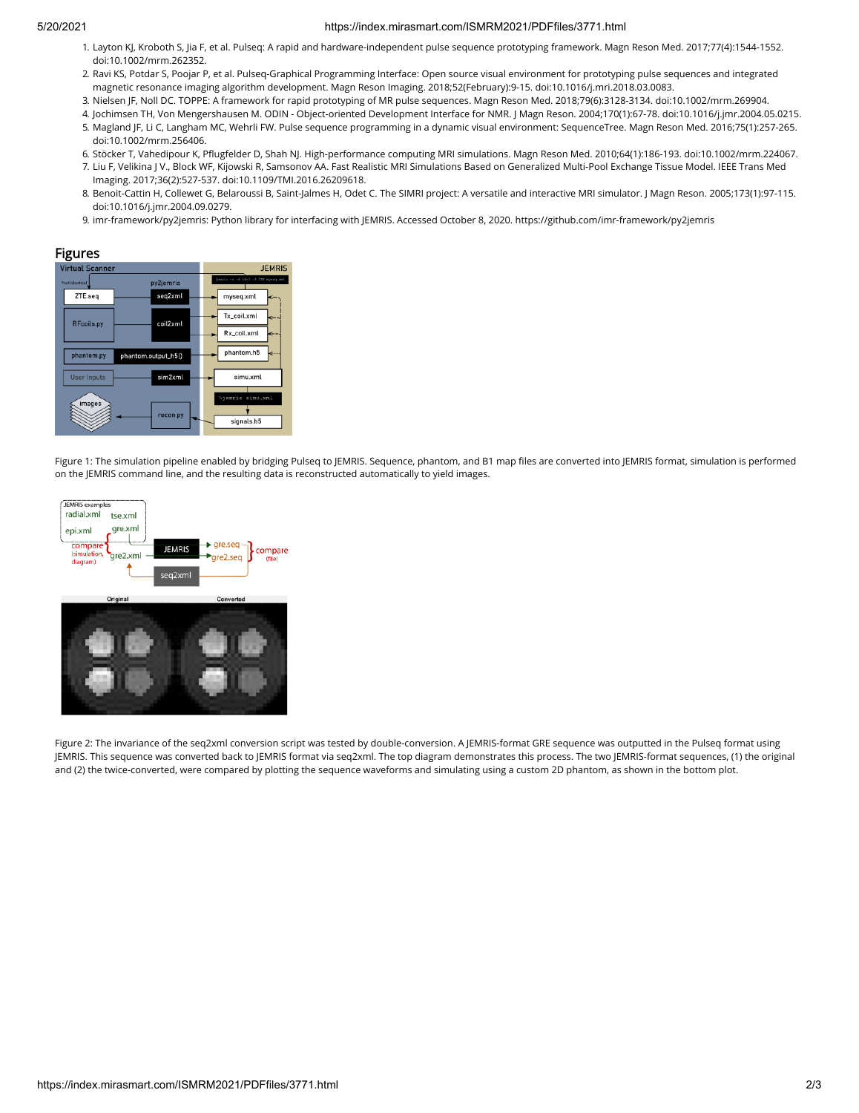#### 5/20/2021 https://index.mirasmart.com/ISMRM2021/PDFfiles/3771.html

- 1. Layton KJ, Kroboth S, Jia F, et al. Pulseq: A rapid and hardware-independent pulse sequence prototyping framework. Magn Reson Med. 2017;77(4):1544-1552. doi:10.1002/mrm.262352.
- 2. Ravi KS, Potdar S, Poojar P, et al. Pulseq-Graphical Programming Interface: Open source visual environment for prototyping pulse sequences and integrated magnetic resonance imaging algorithm development. Magn Reson Imaging. 2018;52(February):9-15. doi:10.1016/j.mri.2018.03.0083.
- 3. Nielsen JF, Noll DC. TOPPE: A framework for rapid prototyping of MR pulse sequences. Magn Reson Med. 2018;79(6):3128-3134. doi:10.1002/mrm.269904.
- 4. Jochimsen TH, Von Mengershausen M. ODIN Object-oriented Development Interface for NMR. J Magn Reson. 2004;170(1):67-78. doi:10.1016/j.jmr.2004.05.0215.
- 5. Magland JF, Li C, Langham MC, Wehrli FW. Pulse sequence programming in a dynamic visual environment: SequenceTree. Magn Reson Med. 2016;75(1):257-265. doi:10.1002/mrm.256406.
- 6. Stöcker T, Vahedipour K, Pugfelder D, Shah NJ. High-performance computing MRI simulations. Magn Reson Med. 2010;64(1):186-193. doi:10.1002/mrm.224067.
- 7. Liu F, Velikina J V., Block WF, Kijowski R, Samsonov AA. Fast Realistic MRI Simulations Based on Generalized Multi-Pool Exchange Tissue Model. IEEE Trans Med Imaging. 2017;36(2):527-537. doi:10.1109/TMI.2016.26209618.
- 8. Benoit-Cattin H, Collewet G, Belaroussi B, Saint-Jalmes H, Odet C. The SIMRI project: A versatile and interactive MRI simulator. J Magn Reson. 2005;173(1):97-115. doi:10.1016/j.jmr.2004.09.0279.
- 9. imr-framework/py2jemris: Python library for interfacing with JEMRIS. Accessed October 8, 2020. https://github.com/imr-framework/py2jemris

### Figures



Figure 1: The simulation pipeline enabled by bridging Pulseq to JEMRIS. Sequence, phantom, and B1 map files are converted into JEMRIS format, simulation is performed on the JEMRIS command line, and the resulting data is reconstructed automatically to yield images.





Figure 2: The invariance of the seq2xml conversion script was tested by double-conversion. A JEMRIS-format GRE sequence was outputted in the Pulseq format using JEMRIS. This sequence was converted back to JEMRIS format via seq2xml. The top diagram demonstrates this process. The two JEMRIS-format sequences, (1) the original and (2) the twice-converted, were compared by plotting the sequence waveforms and simulating using a custom 2D phantom, as shown in the bottom plot.